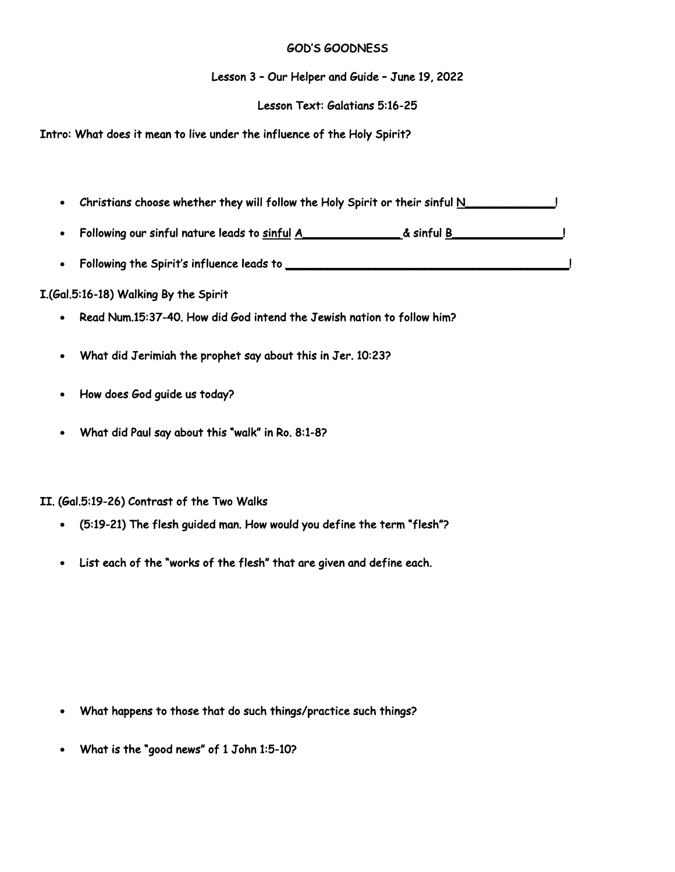## GOD'S GOODNESS

Lesson 3 – Our Helper and Guide – June 19, 2022

## Lesson Text: Galatians 5:16-25

Intro: What does it mean to live under the influence of the Holy Spirit?

- Christians choose whether they will follow the Holy Spirit or their sinful N\_\_\_\_\_\_\_\_\_\_\_\_\_\_!
- Following our sinful nature leads to sinful A\_\_\_\_\_\_\_\_\_\_\_\_\_\_ & sinful B\_\_\_\_\_\_\_\_\_\_\_\_\_\_\_\_!
- Following the Spirit's influence leads to **with the summan control of the State of the State of the State of T**

## I.(Gal.5:16-18) Walking By the Spirit

- Read Num.15:37-40. How did God intend the Jewish nation to follow him?
- What did Jerimiah the prophet say about this in Jer. 10:23?
- How does God guide us today?
- What did Paul say about this "walk" in Ro. 8:1-8?

## II. (Gal.5:19-26) Contrast of the Two Walks

- (5:19-21) The flesh guided man. How would you define the term "flesh"?
- List each of the "works of the flesh" that are given and define each.

- What happens to those that do such things/practice such things?
- What is the "good news" of 1 John 1:5-10?